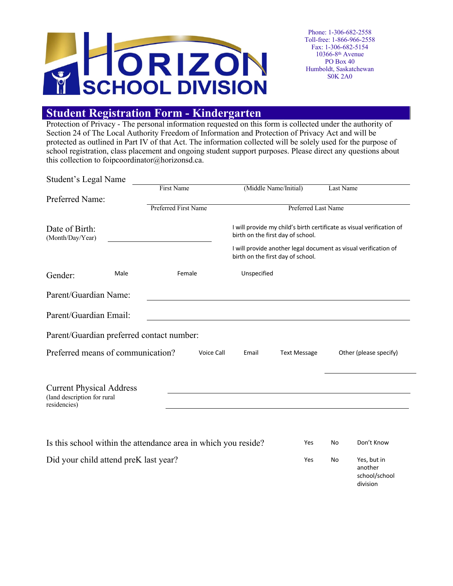

### **Student Registration Form - Kindergarten**

Protection of Privacy - The personal information requested on this form is collected under the authority of Section 24 of The Local Authority Freedom of Information and Protection of Privacy Act and will be protected as outlined in Part IV of that Act. The information collected will be solely used for the purpose of school registration, class placement and ongoing student support purposes. Please direct any questions about this collection to foipcoordinator@horizonsd.ca.

| Student's Legal Name                                                           |      |                                                                |                       |                                                                                                            |           |                                                     |  |  |
|--------------------------------------------------------------------------------|------|----------------------------------------------------------------|-----------------------|------------------------------------------------------------------------------------------------------------|-----------|-----------------------------------------------------|--|--|
|                                                                                |      | First Name                                                     | (Middle Name/Initial) |                                                                                                            | Last Name |                                                     |  |  |
| Preferred Name:                                                                |      |                                                                |                       |                                                                                                            |           |                                                     |  |  |
|                                                                                |      | Preferred First Name                                           |                       | Preferred Last Name                                                                                        |           |                                                     |  |  |
| Date of Birth:<br>(Month/Day/Year)                                             |      |                                                                |                       | I will provide my child's birth certificate as visual verification of<br>birth on the first day of school. |           |                                                     |  |  |
|                                                                                |      |                                                                |                       | I will provide another legal document as visual verification of<br>birth on the first day of school.       |           |                                                     |  |  |
| Gender:                                                                        | Male | Female                                                         | Unspecified           |                                                                                                            |           |                                                     |  |  |
| Parent/Guardian Name:                                                          |      |                                                                |                       |                                                                                                            |           |                                                     |  |  |
| Parent/Guardian Email:                                                         |      |                                                                |                       |                                                                                                            |           |                                                     |  |  |
|                                                                                |      | Parent/Guardian preferred contact number:                      |                       |                                                                                                            |           |                                                     |  |  |
| Preferred means of communication?                                              |      |                                                                | Voice Call<br>Email   | <b>Text Message</b>                                                                                        |           | Other (please specify)                              |  |  |
| <b>Current Physical Address</b><br>(land description for rural<br>residencies) |      |                                                                |                       |                                                                                                            |           |                                                     |  |  |
|                                                                                |      | Is this school within the attendance area in which you reside? |                       | Yes                                                                                                        | No        | Don't Know                                          |  |  |
| Did your child attend preK last year?                                          |      |                                                                |                       | Yes                                                                                                        | No        | Yes, but in<br>another<br>school/school<br>division |  |  |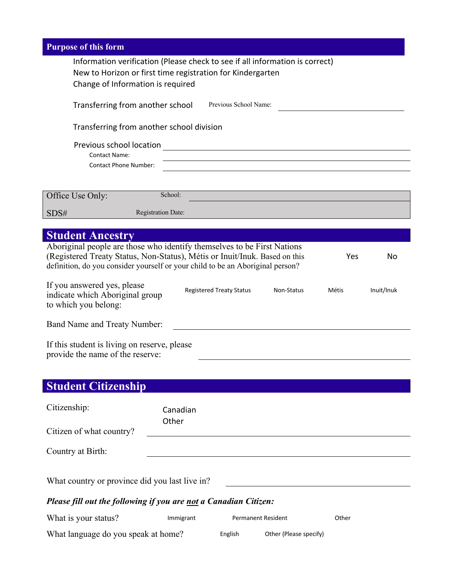| <b>Purpose of this form</b>                                                                                                                                                                                                                          |  |  |  |  |  |  |  |
|------------------------------------------------------------------------------------------------------------------------------------------------------------------------------------------------------------------------------------------------------|--|--|--|--|--|--|--|
| Information verification (Please check to see if all information is correct)<br>New to Horizon or first time registration for Kindergarten<br>Change of Information is required                                                                      |  |  |  |  |  |  |  |
| Previous School Name:<br>Transferring from another school                                                                                                                                                                                            |  |  |  |  |  |  |  |
| Transferring from another school division                                                                                                                                                                                                            |  |  |  |  |  |  |  |
| Previous school location                                                                                                                                                                                                                             |  |  |  |  |  |  |  |
| <b>Contact Name:</b>                                                                                                                                                                                                                                 |  |  |  |  |  |  |  |
| <b>Contact Phone Number:</b>                                                                                                                                                                                                                         |  |  |  |  |  |  |  |
|                                                                                                                                                                                                                                                      |  |  |  |  |  |  |  |
| School:<br>Office Use Only:                                                                                                                                                                                                                          |  |  |  |  |  |  |  |
| <b>Registration Date:</b><br>SDS#                                                                                                                                                                                                                    |  |  |  |  |  |  |  |
| <b>Student Ancestry</b>                                                                                                                                                                                                                              |  |  |  |  |  |  |  |
| Aboriginal people are those who identify themselves to be First Nations<br>(Registered Treaty Status, Non-Status), Métis or Inuit/Inuk. Based on this<br>Yes<br>No<br>definition, do you consider yourself or your child to be an Aboriginal person? |  |  |  |  |  |  |  |
| If you answered yes, please<br><b>Registered Treaty Status</b><br>Non-Status<br>Métis<br>Inuit/Inuk<br>indicate which Aboriginal group<br>to which you belong:                                                                                       |  |  |  |  |  |  |  |
| Band Name and Treaty Number:                                                                                                                                                                                                                         |  |  |  |  |  |  |  |
| If this student is living on reserve, please                                                                                                                                                                                                         |  |  |  |  |  |  |  |

provide the name of the reserve:

## **Student Citizenship**

| Citizenship:                                                     | Canadian<br>Other |  |  |  |  |
|------------------------------------------------------------------|-------------------|--|--|--|--|
| Citizen of what country?                                         |                   |  |  |  |  |
| Country at Birth:                                                |                   |  |  |  |  |
| What country or province did you last live in?                   |                   |  |  |  |  |
| Please fill out the following if you are not a Canadian Citizen: |                   |  |  |  |  |

| What is your status?                | Immigrant |         | <b>Permanent Resident</b> | Other |
|-------------------------------------|-----------|---------|---------------------------|-------|
| What language do you speak at home? |           | English | Other (Please specify)    |       |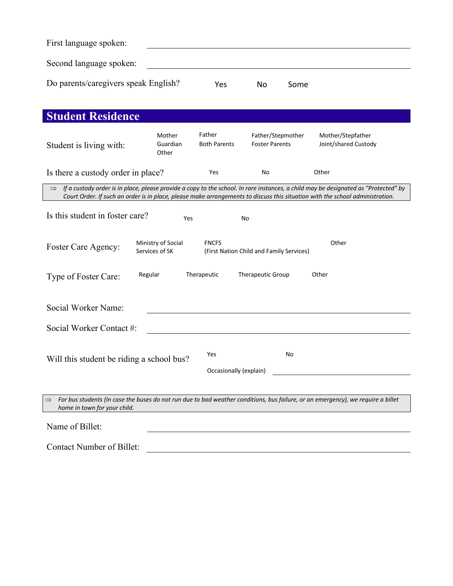| First language spoken:               |     |    |      |
|--------------------------------------|-----|----|------|
| Second language spoken:              |     |    |      |
| Do parents/caregivers speak English? | Yes | No | Some |

| <b>Student Residence</b>                                                                                                                                                                                                                                                           |                                      |                               |                                            |                                           |  |  |  |
|------------------------------------------------------------------------------------------------------------------------------------------------------------------------------------------------------------------------------------------------------------------------------------|--------------------------------------|-------------------------------|--------------------------------------------|-------------------------------------------|--|--|--|
| Student is living with:                                                                                                                                                                                                                                                            | Mother<br>Guardian<br>Other          | Father<br><b>Both Parents</b> | Father/Stepmother<br><b>Foster Parents</b> | Mother/Stepfather<br>Joint/shared Custody |  |  |  |
| Is there a custody order in place?                                                                                                                                                                                                                                                 |                                      | Yes                           | No                                         | Other                                     |  |  |  |
| $\Rightarrow$ If a custody order is in place, please provide a copy to the school. In rare instances, a child may be designated as "Protected" by<br>Court Order. If such an order is in place, please make arrangements to discuss this situation with the school administration. |                                      |                               |                                            |                                           |  |  |  |
| Is this student in foster care?                                                                                                                                                                                                                                                    | Yes                                  |                               | No                                         |                                           |  |  |  |
| Foster Care Agency:                                                                                                                                                                                                                                                                | Ministry of Social<br>Services of SK | <b>FNCFS</b>                  | (First Nation Child and Family Services)   | Other                                     |  |  |  |
| Regular<br>Type of Foster Care:                                                                                                                                                                                                                                                    |                                      | Therapeutic                   | <b>Therapeutic Group</b>                   | Other                                     |  |  |  |
| Social Worker Name:                                                                                                                                                                                                                                                                |                                      |                               |                                            |                                           |  |  |  |
| Social Worker Contact #:                                                                                                                                                                                                                                                           |                                      |                               |                                            |                                           |  |  |  |
| Will this student be riding a school bus?                                                                                                                                                                                                                                          |                                      | Yes<br>Occasionally (explain) | No                                         |                                           |  |  |  |
| For bus students (In case the buses do not run due to bad weather conditions, bus failure, or an emergency), we require a billet<br>$\Rightarrow$<br>home in town for your child.                                                                                                  |                                      |                               |                                            |                                           |  |  |  |
| Name of Billet:                                                                                                                                                                                                                                                                    |                                      |                               |                                            |                                           |  |  |  |
| <b>Contact Number of Billet:</b>                                                                                                                                                                                                                                                   |                                      |                               |                                            |                                           |  |  |  |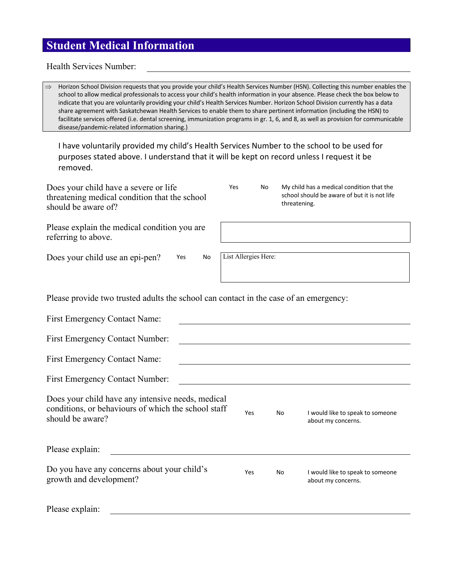## **Student Medical Information**

Health Services Number:

| $\Rightarrow$<br>Horizon School Division requests that you provide your child's Health Services Number (HSN). Collecting this number enables the<br>school to allow medical professionals to access your child's health information in your absence. Please check the box below to<br>indicate that you are voluntarily providing your child's Health Services Number. Horizon School Division currently has a data<br>share agreement with Saskatchewan Health Services to enable them to share pertinent information (including the HSN) to<br>facilitate services offered (i.e. dental screening, immunization programs in gr. 1, 6, and 8, as well as provision for communicable<br>disease/pandemic-related information sharing.) |                      |    |              |                                                                                           |  |  |  |  |
|----------------------------------------------------------------------------------------------------------------------------------------------------------------------------------------------------------------------------------------------------------------------------------------------------------------------------------------------------------------------------------------------------------------------------------------------------------------------------------------------------------------------------------------------------------------------------------------------------------------------------------------------------------------------------------------------------------------------------------------|----------------------|----|--------------|-------------------------------------------------------------------------------------------|--|--|--|--|
| I have voluntarily provided my child's Health Services Number to the school to be used for<br>purposes stated above. I understand that it will be kept on record unless I request it be<br>removed.                                                                                                                                                                                                                                                                                                                                                                                                                                                                                                                                    |                      |    |              |                                                                                           |  |  |  |  |
| Does your child have a severe or life<br>threatening medical condition that the school<br>should be aware of?                                                                                                                                                                                                                                                                                                                                                                                                                                                                                                                                                                                                                          | Yes                  | No | threatening. | My child has a medical condition that the<br>school should be aware of but it is not life |  |  |  |  |
| Please explain the medical condition you are<br>referring to above.                                                                                                                                                                                                                                                                                                                                                                                                                                                                                                                                                                                                                                                                    |                      |    |              |                                                                                           |  |  |  |  |
| Does your child use an epi-pen?<br>No<br>Yes                                                                                                                                                                                                                                                                                                                                                                                                                                                                                                                                                                                                                                                                                           | List Allergies Here: |    |              |                                                                                           |  |  |  |  |
| Please provide two trusted adults the school can contact in the case of an emergency:                                                                                                                                                                                                                                                                                                                                                                                                                                                                                                                                                                                                                                                  |                      |    |              |                                                                                           |  |  |  |  |
| <b>First Emergency Contact Name:</b>                                                                                                                                                                                                                                                                                                                                                                                                                                                                                                                                                                                                                                                                                                   |                      |    |              |                                                                                           |  |  |  |  |
| First Emergency Contact Number:                                                                                                                                                                                                                                                                                                                                                                                                                                                                                                                                                                                                                                                                                                        |                      |    |              |                                                                                           |  |  |  |  |
| <b>First Emergency Contact Name:</b>                                                                                                                                                                                                                                                                                                                                                                                                                                                                                                                                                                                                                                                                                                   |                      |    |              |                                                                                           |  |  |  |  |
| <b>First Emergency Contact Number:</b>                                                                                                                                                                                                                                                                                                                                                                                                                                                                                                                                                                                                                                                                                                 |                      |    |              |                                                                                           |  |  |  |  |
| Does your child have any intensive needs, medical<br>conditions, or behaviours of which the school staff<br>should be aware?                                                                                                                                                                                                                                                                                                                                                                                                                                                                                                                                                                                                           | Yes                  |    | No l         | I would like to speak to someone<br>about my concerns.                                    |  |  |  |  |
| Please explain:                                                                                                                                                                                                                                                                                                                                                                                                                                                                                                                                                                                                                                                                                                                        |                      |    |              |                                                                                           |  |  |  |  |
| Do you have any concerns about your child's<br>growth and development?                                                                                                                                                                                                                                                                                                                                                                                                                                                                                                                                                                                                                                                                 | Yes                  |    | No           | I would like to speak to someone<br>about my concerns.                                    |  |  |  |  |
| Please explain:                                                                                                                                                                                                                                                                                                                                                                                                                                                                                                                                                                                                                                                                                                                        |                      |    |              |                                                                                           |  |  |  |  |

<u> Alexandria de la contrada de la contrada de la contrada de la contrada de la contrada de la contrada de la c</u>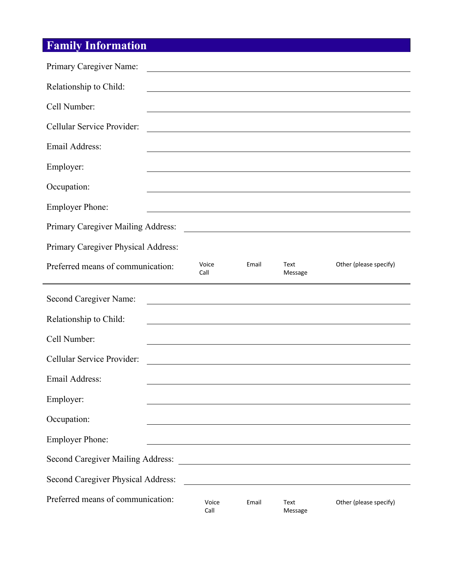# **Family Information**

| Primary Caregiver Name:                                                                                                            |       |                                                                                                                       |                                                             |
|------------------------------------------------------------------------------------------------------------------------------------|-------|-----------------------------------------------------------------------------------------------------------------------|-------------------------------------------------------------|
| Relationship to Child:                                                                                                             |       |                                                                                                                       | <u> 1989 - Johann Stoff, amerikansk politiker (d. 1989)</u> |
| Cell Number:                                                                                                                       |       |                                                                                                                       |                                                             |
| Cellular Service Provider:                                                                                                         |       |                                                                                                                       |                                                             |
| Email Address:<br>and the control of the control of the control of the control of the control of the control of the control of the |       |                                                                                                                       |                                                             |
| Employer:                                                                                                                          |       |                                                                                                                       | <u> 1989 - Johann Stoff, amerikansk politiker (* 1908)</u>  |
| Occupation:                                                                                                                        |       |                                                                                                                       |                                                             |
| <b>Employer Phone:</b>                                                                                                             |       |                                                                                                                       |                                                             |
| Primary Caregiver Mailing Address:                                                                                                 |       |                                                                                                                       |                                                             |
| Primary Caregiver Physical Address:                                                                                                |       |                                                                                                                       |                                                             |
| Voice<br>Preferred means of communication:<br>Call                                                                                 | Email | Text<br>Message                                                                                                       | Other (please specify)                                      |
|                                                                                                                                    |       |                                                                                                                       |                                                             |
| Second Caregiver Name:                                                                                                             |       |                                                                                                                       |                                                             |
| Relationship to Child:                                                                                                             |       |                                                                                                                       |                                                             |
| Cell Number:                                                                                                                       |       |                                                                                                                       |                                                             |
| Cellular Service Provider:                                                                                                         |       |                                                                                                                       |                                                             |
| <b>Email Address:</b>                                                                                                              |       |                                                                                                                       |                                                             |
| Employer:                                                                                                                          |       |                                                                                                                       |                                                             |
| Occupation:                                                                                                                        |       |                                                                                                                       |                                                             |
| <b>Employer Phone:</b>                                                                                                             |       |                                                                                                                       |                                                             |
| Second Caregiver Mailing Address:                                                                                                  |       | <u> 1989 - John Stein, mars and de Brandenberg and de Brandenberg and de Brandenberg and de Brandenberg and de Br</u> |                                                             |
| Second Caregiver Physical Address:                                                                                                 |       |                                                                                                                       |                                                             |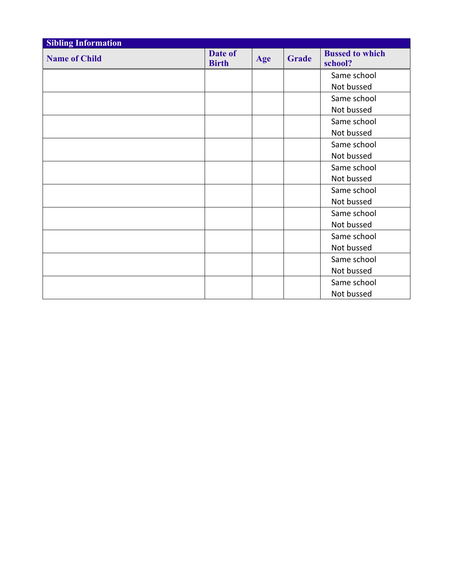| <b>Sibling Information</b> |                         |     |              |                                   |
|----------------------------|-------------------------|-----|--------------|-----------------------------------|
| <b>Name of Child</b>       | Date of<br><b>Birth</b> | Age | <b>Grade</b> | <b>Bussed to which</b><br>school? |
|                            |                         |     |              | Same school                       |
|                            |                         |     |              | Not bussed                        |
|                            |                         |     |              | Same school                       |
|                            |                         |     |              | Not bussed                        |
|                            |                         |     |              | Same school                       |
|                            |                         |     |              | Not bussed                        |
|                            |                         |     |              | Same school                       |
|                            |                         |     |              | Not bussed                        |
|                            |                         |     |              | Same school                       |
|                            |                         |     |              | Not bussed                        |
|                            |                         |     |              | Same school                       |
|                            |                         |     |              | Not bussed                        |
|                            |                         |     |              | Same school                       |
|                            |                         |     |              | Not bussed                        |
|                            |                         |     |              | Same school                       |
|                            |                         |     |              | Not bussed                        |
|                            |                         |     |              | Same school                       |
|                            |                         |     |              | Not bussed                        |
|                            |                         |     |              | Same school                       |
|                            |                         |     |              | Not bussed                        |